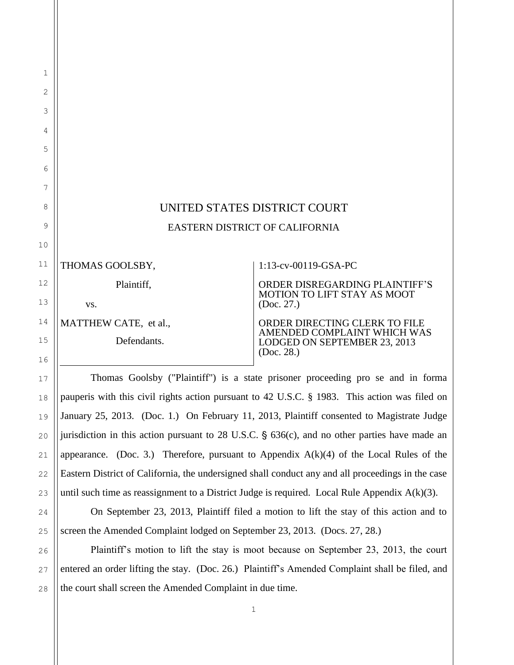## UNITED STATES DISTRICT COURT EASTERN DISTRICT OF CALIFORNIA

THOMAS GOOLSBY,

Plaintiff,

vs.

MATTHEW CATE, et al.,

Defendants.

## 1:13-cv-00119-GSA-PC

ORDER DISREGARDING PLAINTIFF'S MOTION TO LIFT STAY AS MOOT (Doc. 27.)

ORDER DIRECTING CLERK TO FILE AMENDED COMPLAINT WHICH WAS LODGED ON SEPTEMBER 23, 2013 (Doc. 28.)

Thomas Goolsby ("Plaintiff") is a state prisoner proceeding pro se and in forma pauperis with this civil rights action pursuant to 42 U.S.C. § 1983. This action was filed on January 25, 2013. (Doc. 1.) On February 11, 2013, Plaintiff consented to Magistrate Judge jurisdiction in this action pursuant to 28 U.S.C.  $\S$  636(c), and no other parties have made an appearance. (Doc. 3.) Therefore, pursuant to Appendix  $A(k)(4)$  of the Local Rules of the Eastern District of California, the undersigned shall conduct any and all proceedings in the case until such time as reassignment to a District Judge is required. Local Rule Appendix  $A(k)(3)$ .

On September 23, 2013, Plaintiff filed a motion to lift the stay of this action and to screen the Amended Complaint lodged on September 23, 2013. (Docs. 27, 28.)

Plaintiff's motion to lift the stay is moot because on September 23, 2013, the court entered an order lifting the stay. (Doc. 26.) Plaintiff's Amended Complaint shall be filed, and the court shall screen the Amended Complaint in due time.

1